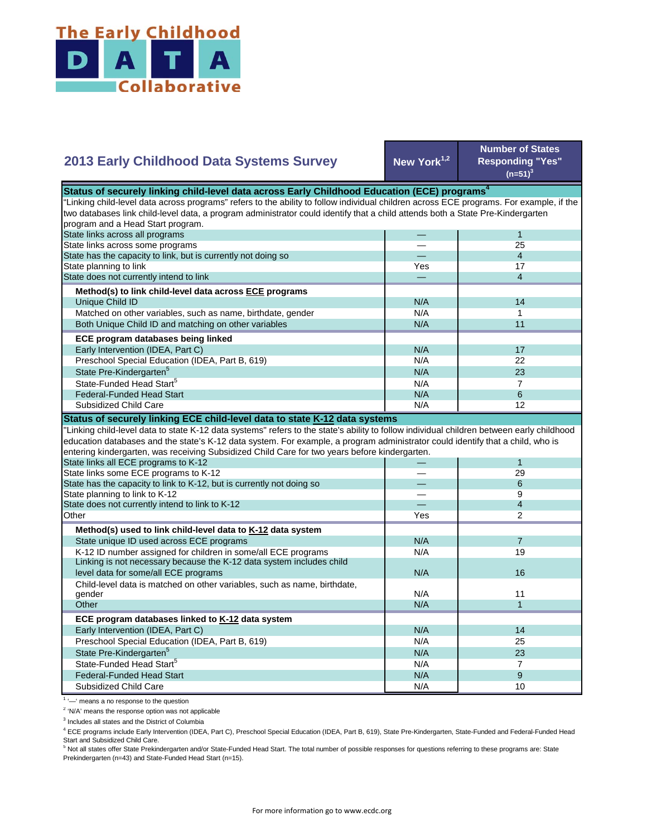

## **New York1,2 Number of States Responding "Yes"**   $(n=51)^{3}$ — 1 — 25 — 4 Yes **17** — 4 N/A 14  $N/A$  1 N/A 11  $N/A$  17 N/A 22  $N/A$  23  $N/A$  7 State Pre-Kindergarten<sup>5</sup> State-Funded Head Start<sup>5</sup> Matched on other variables, such as name, birthdate, gender Both Unique Child ID and matching on other variables  **ECE program databases being linked**  Early Intervention (IDEA, Part C) Preschool Special Education (IDEA, Part B, 619) State has the capacity to link, but is currently not doing so State planning to link State does not currently intend to link  **Method(s) to link child-level data across ECE programs** Unique Child ID **2013 Early Childhood Data Systems Survey** Status of securely linking child-level data across Early Childhood Education (ECE) programs<sup>4</sup> "Linking child-level data across programs" refers to the ability to follow individual children across ECE programs. For example, if the two databases link child-level data, a program administrator could identify that a child attends both a State Pre-Kindergarten program and a Head Start program. State links across all programs State links across some programs  $N/A$  6  $N/A$  12 — 1 — 29 — 6 — 9 — 4 Yes | 2  $N/A$  7 N/A 19 N/A N/A 11  $N/A$  1 N/A 14 N/A 25 N/A 23  $N/A$  7  $N/A$  9 N/A 10 Preschool Special Education (IDEA, Part B, 619) State Pre-Kindergarten<sup>5</sup> State-Funded Head Start<sup>5</sup> Federal-Funded Head Start Subsidized Child Care Child-level data is matched on other variables, such as name, birthdate, gender **Other ECE program databases linked to K-12 data system** Early Intervention (IDEA, Part C) **Other Method(s) used to link child-level data to K-12 data system** State unique ID used across ECE programs K-12 ID number assigned for children in some/all ECE programs Linking is not necessary because the K-12 data system includes child level data for some/all ECE programs 16 and 16 and 16 and 16 and 16 and 16 and 16 and 16 and 16 and 16 and 16  $\mu$ "Linking child-level data to state K-12 data systems" refers to the state's ability to follow individual children between early childhood education databases and the state's K-12 data system. For example, a program administrator could identify that a child, who is entering kindergarten, was receiving Subsidized Child Care for two years before kindergarten. State links all ECE programs to K-12 State links some ECE programs to K-12 State has the capacity to link to K-12, but is currently not doing so State planning to link to K-12 State does not currently intend to link to K-12 Federal-Funded Head Start Subsidized Child Care **Status of securely linking ECE child-level data to state K-12 data systems**

<sup>1</sup> '-' means a no response to the question

<sup>2</sup> 'N/A' means the response option was not applicable

<sup>3</sup> Includes all states and the District of Columbia

<sup>4</sup> ECE programs include Early Intervention (IDEA, Part C), Preschool Special Education (IDEA, Part B, 619), State Pre-Kindergarten, State-Funded and Federal-Funded Head Start and Subsidized Child Care.

<sup>5</sup> Not all states offer State Prekindergarten and/or State-Funded Head Start. The total number of possible responses for questions referring to these programs are: State Prekindergarten (n=43) and State-Funded Head Start (n=15).